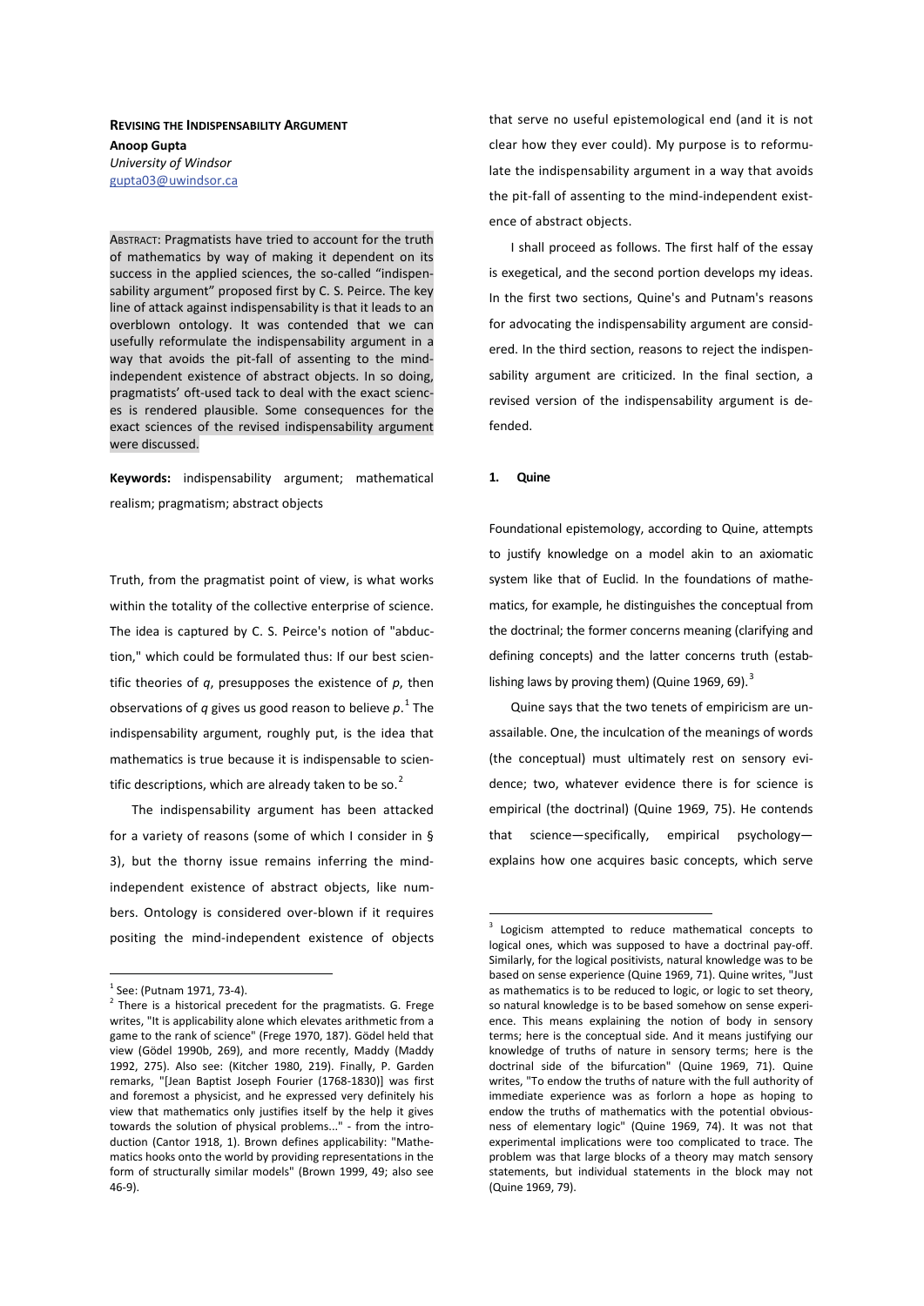## **REVISING THE INDISPENSABILITY ARGUMENT Anoop Gupta** *University of Windsor*  gupta03@uwindsor.ca

ABSTRACT: Pragmatists have tried to account for the truth of mathematics by way of making it dependent on its success in the applied sciences, the so-called "indispensability argument" proposed first by C. S. Peirce. The key line of attack against indispensability is that it leads to an overblown ontology. It was contended that we can usefully reformulate the indispensability argument in a way that avoids the pit-fall of assenting to the mindindependent existence of abstract objects. In so doing, pragmatists' oft-used tack to deal with the exact sciences is rendered plausible. Some consequences for the exact sciences of the revised indispensability argument were discussed.

Keywords: indispensability argument; mathematical realism; pragmatism; abstract objects

Truth, from the pragmatist point of view, is what works within the totality of the collective enterprise of science. The idea is captured by C. S. Peirce's notion of "abduction," which could be formulated thus: If our best scientific theories of *q*, presupposes the existence of *p*, then observations of *q* gives us good reason to believe *p*. 1 The indispensability argument, roughly put, is the idea that mathematics is true because it is indispensable to scientific descriptions, which are already taken to be so. $<sup>2</sup>$ </sup>

The indispensability argument has been attacked for a variety of reasons (some of which I consider in § 3), but the thorny issue remains inferring the mindindependent existence of abstract objects, like numbers. Ontology is considered over-blown if it requires positing the mind-independent existence of objects

that serve no useful epistemological end (and it is not clear how they ever could). My purpose is to reformulate the indispensability argument in a way that avoids the pit-fall of assenting to the mind-independent existence of abstract objects.

I shall proceed as follows. The first half of the essay is exegetical, and the second portion develops my ideas. In the first two sections, Quine's and Putnam's reasons for advocating the indispensability argument are considered. In the third section, reasons to reject the indispensability argument are criticized. In the final section, a revised version of the indispensability argument is defended.

#### 1. **Quine**

Foundational epistemology, according to Quine, attempts to justify knowledge on a model akin to an axiomatic system like that of Euclid. In the foundations of mathematics, for example, he distinguishes the conceptual from the doctrinal; the former concerns meaning (clarifying and defining concepts) and the latter concerns truth (establishing laws by proving them) (Quine 1969, 69). $^3$ 

Quine says that the two tenets of empiricism are unassailable. One, the inculcation of the meanings of words (the conceptual) must ultimately rest on sensory evidence; two, whatever evidence there is for science is empirical (the doctrinal) (Quine 1969, 75). He contends that science—specifically, empirical psychology explains how one acquires basic concepts, which serve

<sup>&</sup>lt;sup>1</sup> See: (Putnam 1971, 73-4).

 $2$  There is a historical precedent for the pragmatists. G. Frege writes, "It is applicability alone which elevates arithmetic from a game to the rank of science" (Frege 1970, 187). Gödel held that view (Gödel 1990b, 269), and more recently, Maddy (Maddy 1992, 275). Also see: (Kitcher 1980, 219). Finally, P. Garden remarks, "[Jean Baptist Joseph Fourier (1768-1830)] was first and foremost a physicist, and he expressed very definitely his view that mathematics only justifies itself by the help it gives towards the solution of physical problems..." - from the introduction (Cantor 1918, 1). Brown defines applicability: "Mathematics hooks onto the world by providing representations in the form of structurally similar models" (Brown 1999, 49; also see 46-9).

<sup>&</sup>lt;sup>3</sup> Logicism attempted to reduce mathematical concepts to logical ones, which was supposed to have a doctrinal pay-off. Similarly, for the logical positivists, natural knowledge was to be based on sense experience (Quine 1969, 71). Quine writes, "Just as mathematics is to be reduced to logic, or logic to set theory, so natural knowledge is to be based somehow on sense experience. This means explaining the notion of body in sensory terms; here is the conceptual side. And it means justifying our knowledge of truths of nature in sensory terms; here is the doctrinal side of the bifurcation" (Quine 1969, 71). Quine writes, "To endow the truths of nature with the full authority of immediate experience was as forlorn a hope as hoping to endow the truths of mathematics with the potential obviousness of elementary logic" (Quine 1969, 74). It was not that experimental implications were too complicated to trace. The problem was that large blocks of a theory may match sensory statements, but individual statements in the block may not (Quine 1969, 79).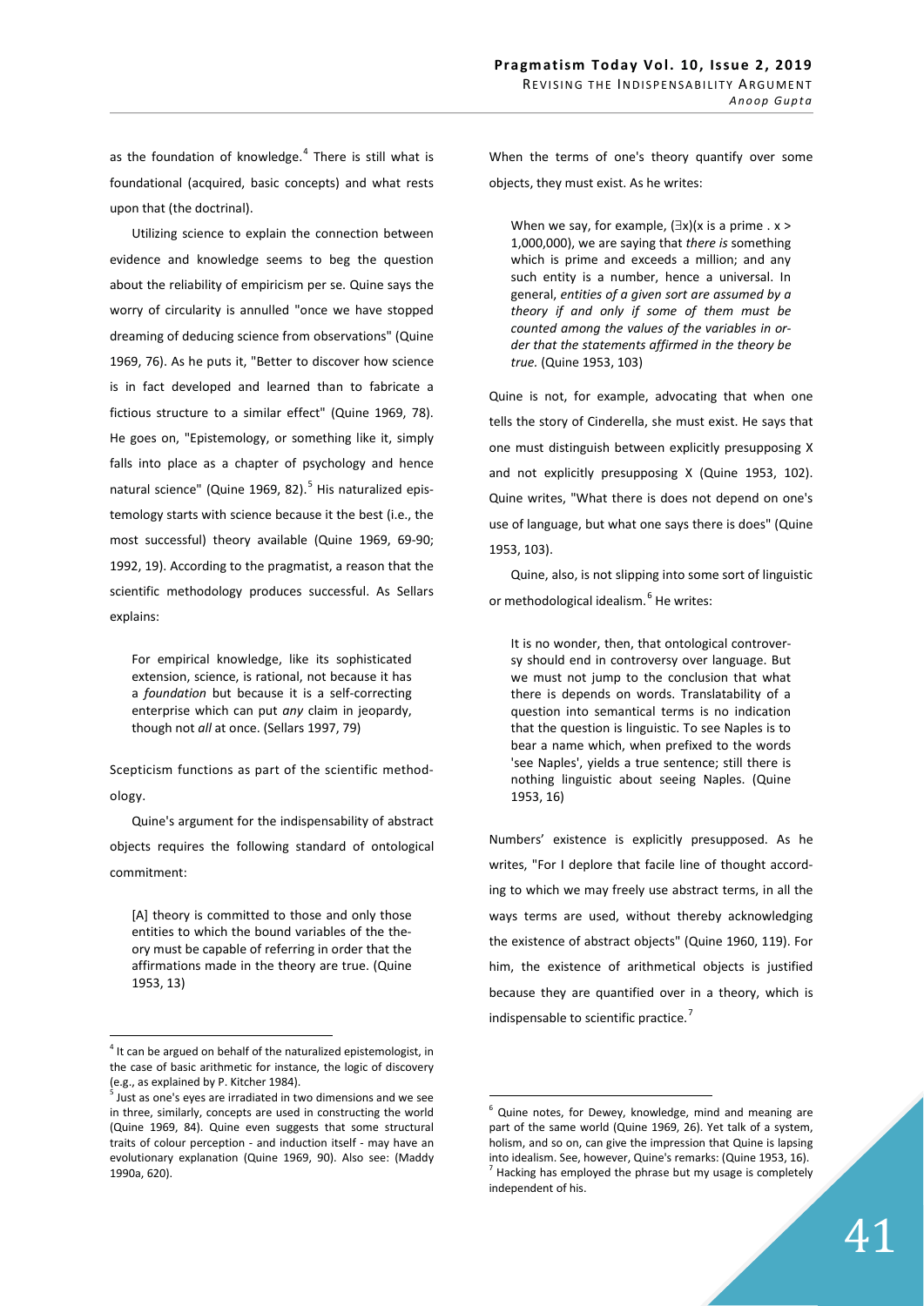as the foundation of knowledge.<sup>4</sup> There is still what is foundational (acquired, basic concepts) and what rests upon that (the doctrinal).

Utilizing science to explain the connection between evidence and knowledge seems to beg the question about the reliability of empiricism per se. Quine says the worry of circularity is annulled "once we have stopped dreaming of deducing science from observations" (Quine 1969, 76). As he puts it, "Better to discover how science is in fact developed and learned than to fabricate a fictious structure to a similar effect" (Quine 1969, 78). He goes on, "Epistemology, or something like it, simply falls into place as a chapter of psychology and hence natural science" (Quine 1969, 82).<sup>5</sup> His naturalized epistemology starts with science because it the best (i.e., the most successful) theory available (Quine 1969, 69-90; 1992, 19). According to the pragmatist, a reason that the scientific methodology produces successful. As Sellars explains:

For empirical knowledge, like its sophisticated extension, science, is rational, not because it has a *foundation* but because it is a self-correcting enterprise which can put *any* claim in jeopardy, though not *all* at once. (Sellars 1997, 79)

Scepticism functions as part of the scientific methodology.

Quine's argument for the indispensability of abstract objects requires the following standard of ontological commitment:

[A] theory is committed to those and only those entities to which the bound variables of the theory must be capable of referring in order that the affirmations made in the theory are true. (Quine 1953, 13)

When the terms of one's theory quantify over some objects, they must exist. As he writes:

When we say, for example,  $(\exists x)(x \text{ is a prime. } x >$ 1,000,000), we are saying that *there is* something which is prime and exceeds a million; and any such entity is a number, hence a universal. In general, *entities of a given sort are assumed by a theory if and only if some of them must be counted among the values of the variables in order that the statements affirmed in the theory be true.* (Quine 1953, 103)

Quine is not, for example, advocating that when one tells the story of Cinderella, she must exist. He says that one must distinguish between explicitly presupposing X and not explicitly presupposing X (Quine 1953, 102). Quine writes, "What there is does not depend on one's use of language, but what one says there is does" (Quine 1953, 103).

Quine, also, is not slipping into some sort of linguistic or methodological idealism.<sup>6</sup> He writes:

It is no wonder, then, that ontological controversy should end in controversy over language. But we must not jump to the conclusion that what there is depends on words. Translatability of a question into semantical terms is no indication that the question is linguistic. To see Naples is to bear a name which, when prefixed to the words 'see Naples', yields a true sentence; still there is nothing linguistic about seeing Naples. (Quine 1953, 16)

Numbers' existence is explicitly presupposed. As he writes, "For I deplore that facile line of thought according to which we may freely use abstract terms, in all the ways terms are used, without thereby acknowledging the existence of abstract objects" (Quine 1960, 119). For him, the existence of arithmetical objects is justified because they are quantified over in a theory, which is indispensable to scientific practice.<sup>7</sup>

<sup>&</sup>lt;sup>4</sup> It can be argued on behalf of the naturalized epistemologist, in the case of basic arithmetic for instance, the logic of discovery (e.g., as explained by P. Kitcher 1984).

<sup>&</sup>lt;sup>5</sup> Just as one's eyes are irradiated in two dimensions and we see in three, similarly, concepts are used in constructing the world (Quine 1969, 84). Quine even suggests that some structural traits of colour perception - and induction itself - may have an evolutionary explanation (Quine 1969, 90). Also see: (Maddy 1990a, 620).

Quine notes, for Dewey, knowledge, mind and meaning are part of the same world (Quine 1969, 26). Yet talk of a system, holism, and so on, can give the impression that Quine is lapsing into idealism. See, however, Quine's remarks: (Quine 1953, 16).  $<sup>7</sup>$  Hacking has employed the phrase but my usage is completely</sup> independent of his.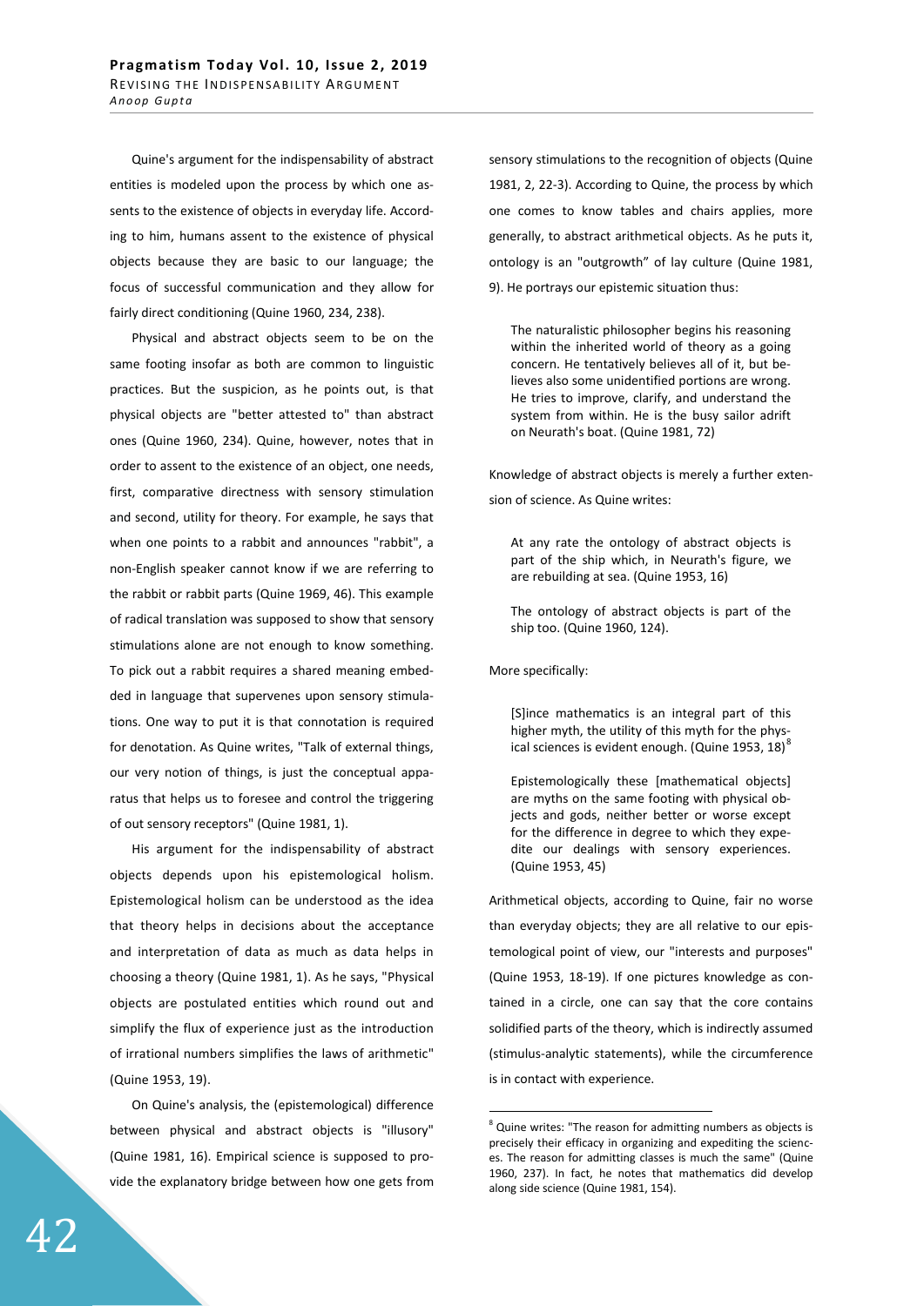Quine's argument for the indispensability of abstract entities is modeled upon the process by which one assents to the existence of objects in everyday life. According to him, humans assent to the existence of physical objects because they are basic to our language; the focus of successful communication and they allow for fairly direct conditioning (Quine 1960, 234, 238).

Physical and abstract objects seem to be on the same footing insofar as both are common to linguistic practices. But the suspicion, as he points out, is that physical objects are "better attested to" than abstract ones (Quine 1960, 234). Quine, however, notes that in order to assent to the existence of an object, one needs, first, comparative directness with sensory stimulation and second, utility for theory. For example, he says that when one points to a rabbit and announces "rabbit", a non-English speaker cannot know if we are referring to the rabbit or rabbit parts (Quine 1969, 46). This example of radical translation was supposed to show that sensory stimulations alone are not enough to know something. To pick out a rabbit requires a shared meaning embedded in language that supervenes upon sensory stimulations. One way to put it is that connotation is required for denotation. As Quine writes, "Talk of external things, our very notion of things, is just the conceptual apparatus that helps us to foresee and control the triggering of out sensory receptors" (Quine 1981, 1).

His argument for the indispensability of abstract objects depends upon his epistemological holism. Epistemological holism can be understood as the idea that theory helps in decisions about the acceptance and interpretation of data as much as data helps in choosing a theory (Quine 1981, 1). As he says, "Physical objects are postulated entities which round out and simplify the flux of experience just as the introduction of irrational numbers simplifies the laws of arithmetic" (Quine 1953, 19).

On Quine's analysis, the (epistemological) difference between physical and abstract objects is "illusory" (Quine 1981, 16). Empirical science is supposed to provide the explanatory bridge between how one gets from

sensory stimulations to the recognition of objects (Quine 1981, 2, 22-3). According to Quine, the process by which one comes to know tables and chairs applies, more generally, to abstract arithmetical objects. As he puts it, ontology is an "outgrowth" of lay culture (Quine 1981, 9). He portrays our epistemic situation thus:

The naturalistic philosopher begins his reasoning within the inherited world of theory as a going concern. He tentatively believes all of it, but believes also some unidentified portions are wrong. He tries to improve, clarify, and understand the system from within. He is the busy sailor adrift on Neurath's boat. (Quine 1981, 72)

Knowledge of abstract objects is merely a further extension of science. As Quine writes:

At any rate the ontology of abstract objects is part of the ship which, in Neurath's figure, we are rebuilding at sea. (Quine 1953, 16)

The ontology of abstract objects is part of the ship too. (Quine 1960, 124).

More specifically:

[S]ince mathematics is an integral part of this higher myth, the utility of this myth for the physical sciences is evident enough. (Quine 1953, 18) $^8$ 

Epistemologically these [mathematical objects] are myths on the same footing with physical objects and gods, neither better or worse except for the difference in degree to which they expedite our dealings with sensory experiences. (Quine 1953, 45)

Arithmetical objects, according to Quine, fair no worse than everyday objects; they are all relative to our epistemological point of view, our "interests and purposes" (Quine 1953, 18-19). If one pictures knowledge as contained in a circle, one can say that the core contains solidified parts of the theory, which is indirectly assumed (stimulus-analytic statements), while the circumference is in contact with experience.

<sup>&</sup>lt;sup>8</sup> Quine writes: "The reason for admitting numbers as objects is precisely their efficacy in organizing and expediting the sciences. The reason for admitting classes is much the same" (Quine 1960, 237). In fact, he notes that mathematics did develop along side science (Quine 1981, 154).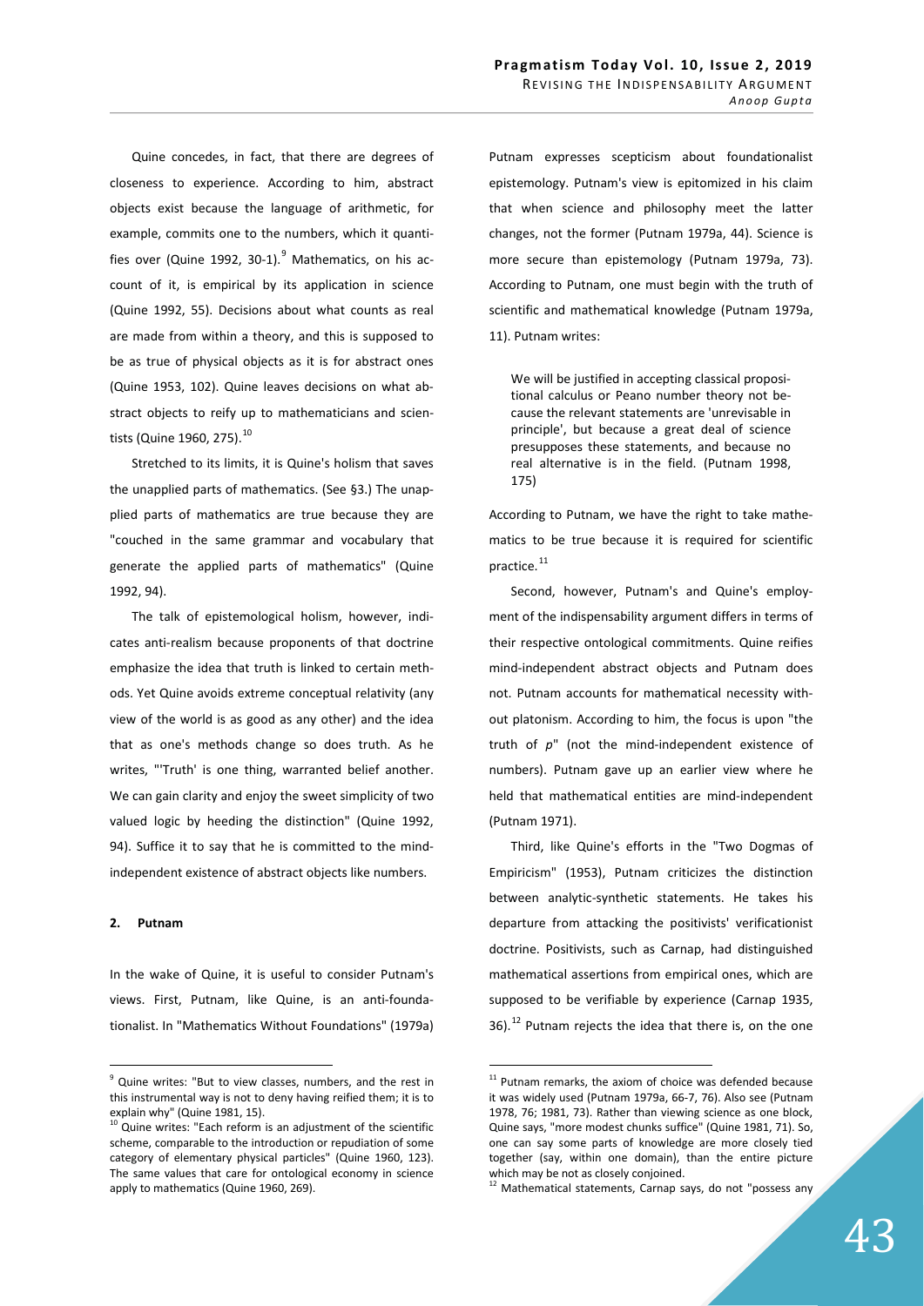Quine concedes, in fact, that there are degrees of closeness to experience. According to him, abstract objects exist because the language of arithmetic, for example, commits one to the numbers, which it quantifies over (Quine 1992, 30-1).<sup>9</sup> Mathematics, on his account of it, is empirical by its application in science (Quine 1992, 55). Decisions about what counts as real are made from within a theory, and this is supposed to be as true of physical objects as it is for abstract ones (Quine 1953, 102). Quine leaves decisions on what abstract objects to reify up to mathematicians and scientists (Quine 1960, 275).<sup>10</sup>

Stretched to its limits, it is Quine's holism that saves the unapplied parts of mathematics. (See §3.) The unapplied parts of mathematics are true because they are "couched in the same grammar and vocabulary that generate the applied parts of mathematics" (Quine 1992, 94).

The talk of epistemological holism, however, indicates anti-realism because proponents of that doctrine emphasize the idea that truth is linked to certain methods. Yet Quine avoids extreme conceptual relativity (any view of the world is as good as any other) and the idea that as one's methods change so does truth. As he writes, "'Truth' is one thing, warranted belief another. We can gain clarity and enjoy the sweet simplicity of two valued logic by heeding the distinction" (Quine 1992, 94). Suffice it to say that he is committed to the mindindependent existence of abstract objects like numbers.

### 2. Putnam

In the wake of Quine, it is useful to consider Putnam's views. First, Putnam, like Quine, is an anti-foundationalist. In "Mathematics Without Foundations" (1979a)

Putnam expresses scepticism about foundationalist epistemology. Putnam's view is epitomized in his claim that when science and philosophy meet the latter changes, not the former (Putnam 1979a, 44). Science is more secure than epistemology (Putnam 1979a, 73). According to Putnam, one must begin with the truth of scientific and mathematical knowledge (Putnam 1979a, 11). Putnam writes:

We will be justified in accepting classical propositional calculus or Peano number theory not because the relevant statements are 'unrevisable in principle', but because a great deal of science presupposes these statements, and because no real alternative is in the field. (Putnam 1998, 175)

According to Putnam, we have the right to take mathematics to be true because it is required for scientific practice.<sup>11</sup>

Second, however, Putnam's and Quine's employment of the indispensability argument differs in terms of their respective ontological commitments. Quine reifies mind-independent abstract objects and Putnam does not. Putnam accounts for mathematical necessity without platonism. According to him, the focus is upon "the truth of *p*" (not the mind-independent existence of numbers). Putnam gave up an earlier view where he held that mathematical entities are mind-independent (Putnam 1971).

Third, like Quine's efforts in the "Two Dogmas of Empiricism" (1953), Putnam criticizes the distinction between analytic-synthetic statements. He takes his departure from attacking the positivists' verificationist doctrine. Positivists, such as Carnap, had distinguished mathematical assertions from empirical ones, which are supposed to be verifiable by experience (Carnap 1935, 36). $^{12}$  Putnam rejects the idea that there is, on the one

<sup>&</sup>lt;sup>9</sup> Quine writes: "But to view classes, numbers, and the rest in this instrumental way is not to deny having reified them; it is to explain why" (Quine 1981, 15).

 $10$  Quine writes: "Each reform is an adjustment of the scientific scheme, comparable to the introduction or repudiation of some category of elementary physical particles" (Quine 1960, 123). The same values that care for ontological economy in science apply to mathematics (Quine 1960, 269).

 $11$  Putnam remarks, the axiom of choice was defended because it was widely used (Putnam 1979a, 66-7, 76). Also see (Putnam 1978, 76; 1981, 73). Rather than viewing science as one block, Quine says, "more modest chunks suffice" (Quine 1981, 71). So, one can say some parts of knowledge are more closely tied together (say, within one domain), than the entire picture which may be not as closely conjoined.

 $12$  Mathematical statements, Carnap says, do not "possess any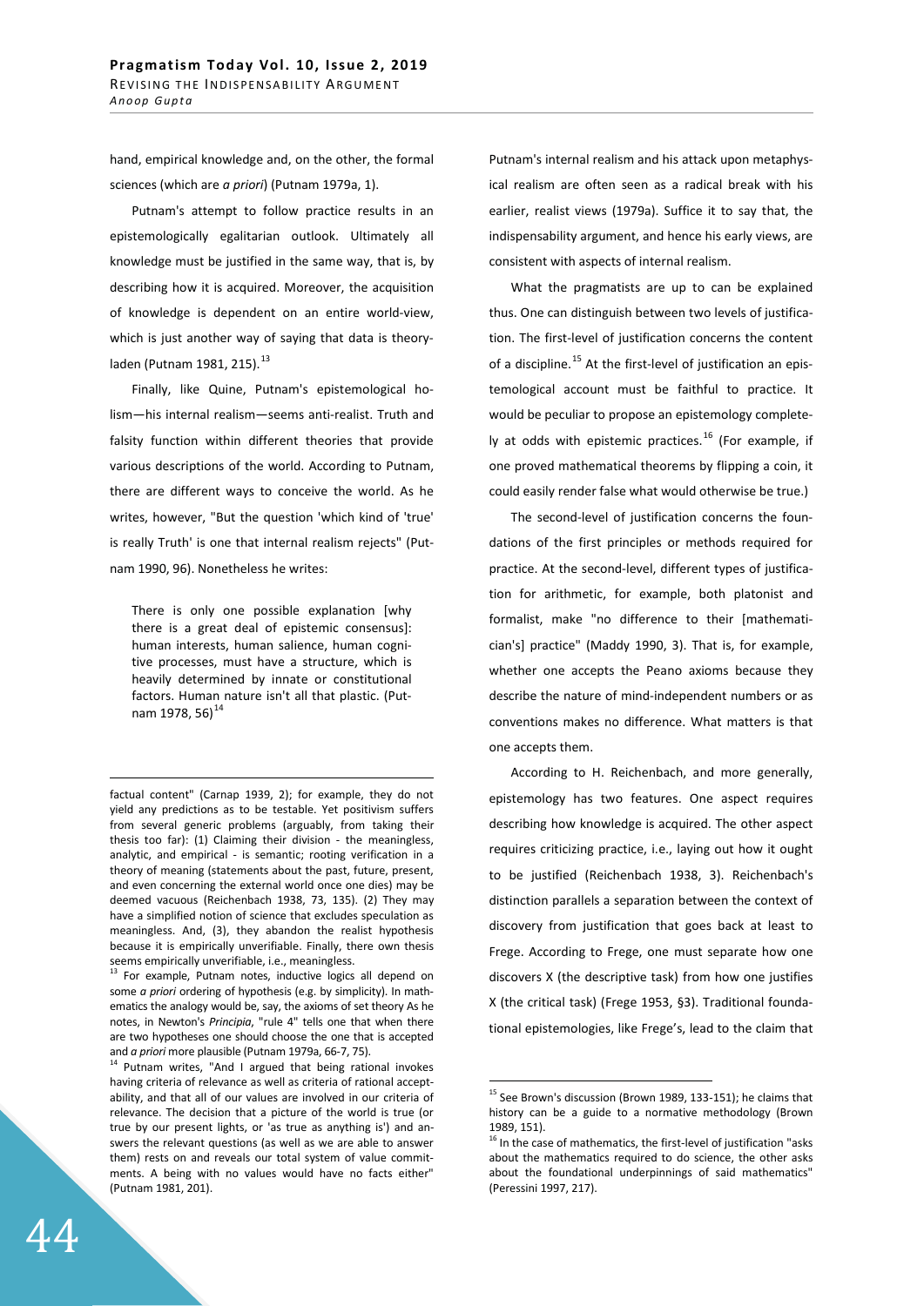hand, empirical knowledge and, on the other, the formal sciences (which are *a priori*) (Putnam 1979a, 1).

Putnam's attempt to follow practice results in an epistemologically egalitarian outlook. Ultimately all knowledge must be justified in the same way, that is, by describing how it is acquired. Moreover, the acquisition of knowledge is dependent on an entire world-view, which is just another way of saying that data is theory $laden (Putnam 1981, 215).$ <sup>13</sup>

Finally, like Quine, Putnam's epistemological holism—his internal realism—seems anti-realist. Truth and falsity function within different theories that provide various descriptions of the world. According to Putnam, there are different ways to conceive the world. As he writes, however, "But the question 'which kind of 'true' is really Truth' is one that internal realism rejects" (Putnam 1990, 96). Nonetheless he writes:

There is only one possible explanation [why there is a great deal of epistemic consensus]: human interests, human salience, human cognitive processes, must have a structure, which is heavily determined by innate or constitutional factors. Human nature isn't all that plastic. (Putnam 1978, 56) $^{14}$ 

<sup>13</sup> For example, Putnam notes, inductive logics all depend on some *a priori* ordering of hypothesis (e.g. by simplicity). In mathematics the analogy would be, say, the axioms of set theory As he notes, in Newton's *Principia*, "rule 4" tells one that when there are two hypotheses one should choose the one that is accepted Putnam's internal realism and his attack upon metaphysical realism are often seen as a radical break with his earlier, realist views (1979a). Suffice it to say that, the indispensability argument, and hence his early views, are consistent with aspects of internal realism.

What the pragmatists are up to can be explained thus. One can distinguish between two levels of justification. The first-level of justification concerns the content of a discipline.<sup>15</sup> At the first-level of justification an epistemological account must be faithful to practice. It would be peculiar to propose an epistemology completely at odds with epistemic practices.<sup>16</sup> (For example, if one proved mathematical theorems by flipping a coin, it could easily render false what would otherwise be true.)

The second-level of justification concerns the foundations of the first principles or methods required for practice. At the second-level, different types of justification for arithmetic, for example, both platonist and formalist, make "no difference to their [mathematician's] practice" (Maddy 1990, 3). That is, for example, whether one accepts the Peano axioms because they describe the nature of mind-independent numbers or as conventions makes no difference. What matters is that one accepts them.

According to H. Reichenbach, and more generally, epistemology has two features. One aspect requires describing how knowledge is acquired. The other aspect requires criticizing practice, i.e., laying out how it ought to be justified (Reichenbach 1938, 3). Reichenbach's distinction parallels a separation between the context of discovery from justification that goes back at least to Frege. According to Frege, one must separate how one discovers X (the descriptive task) from how one justifies X (the critical task) (Frege 1953, §3). Traditional foundational epistemologies, like Frege's, lead to the claim that

factual content" (Carnap 1939, 2); for example, they do not yield any predictions as to be testable. Yet positivism suffers from several generic problems (arguably, from taking their thesis too far): (1) Claiming their division - the meaningless, analytic, and empirical - is semantic; rooting verification in a theory of meaning (statements about the past, future, present, and even concerning the external world once one dies) may be deemed vacuous (Reichenbach 1938, 73, 135). (2) They may have a simplified notion of science that excludes speculation as meaningless. And, (3), they abandon the realist hypothesis because it is empirically unverifiable. Finally, there own thesis seems empirically unverifiable, i.e., meaningless.

and *a priori* more plausible (Putnam 1979a, 66-7, 75).<br><sup>14</sup> Putnam writes, "And I argued that being rational invokes having criteria of relevance as well as criteria of rational acceptability, and that all of our values are involved in our criteria of relevance. The decision that a picture of the world is true (or true by our present lights, or 'as true as anything is') and answers the relevant questions (as well as we are able to answer them) rests on and reveals our total system of value commitments. A being with no values would have no facts either" (Putnam 1981, 201).

<sup>&</sup>lt;sup>15</sup> See Brown's discussion (Brown 1989, 133-151); he claims that history can be a guide to a normative methodology (Brown 1989, 151).

 $16$  In the case of mathematics, the first-level of justification "asks about the mathematics required to do science, the other asks about the foundational underpinnings of said mathematics" (Peressini 1997, 217).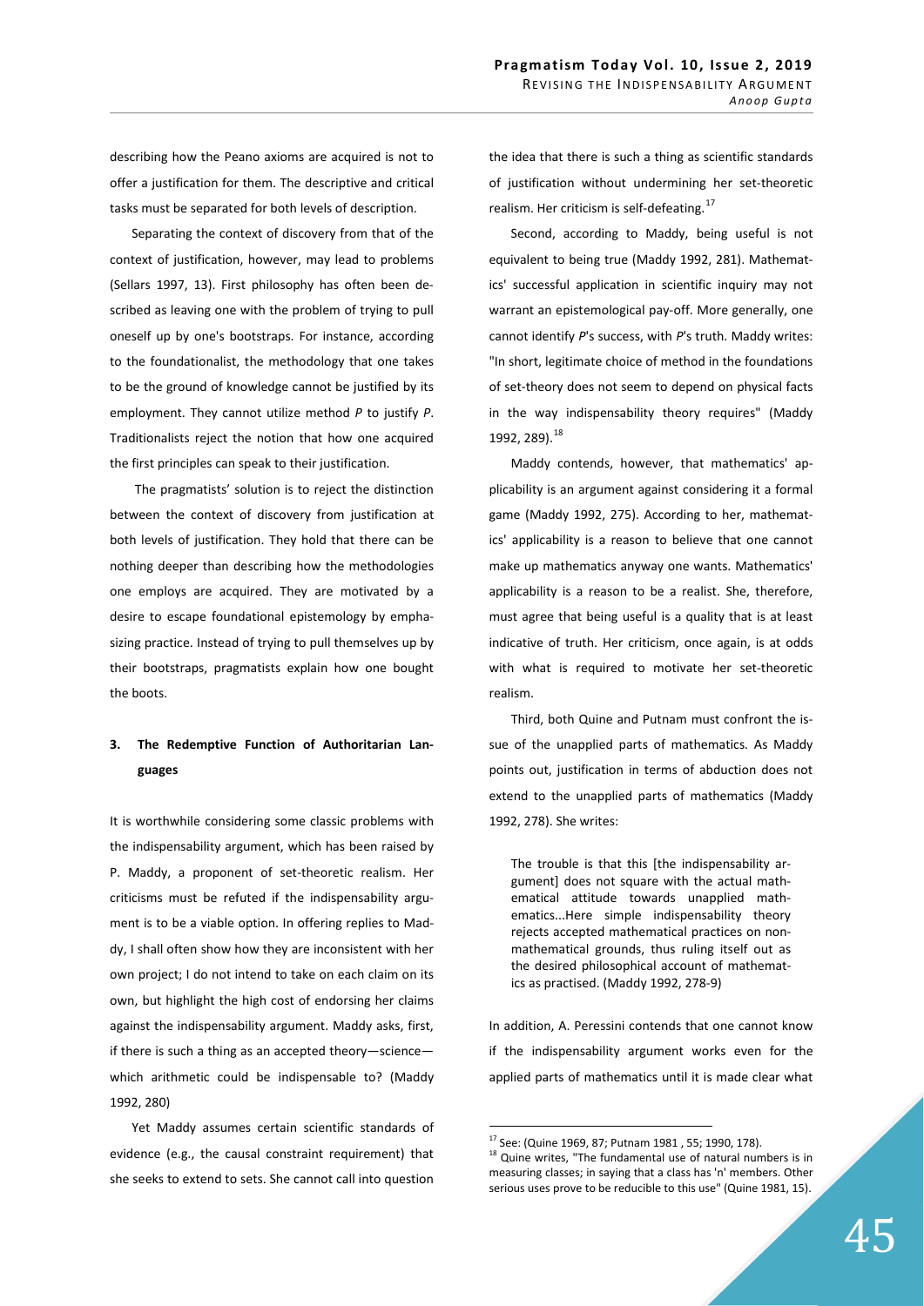describing how the Peano axioms are acquired is not to offer a justification for them. The descriptive and critical tasks must be separated for both levels of description.

Separating the context of discovery from that of the context of justification, however, may lead to problems (Sellars 1997, 13). First philosophy has often been described as leaving one with the problem of trying to pull oneself up by one's bootstraps. For instance, according to the foundationalist, the methodology that one takes to be the ground of knowledge cannot be justified by its employment. They cannot utilize method *P* to justify *P*. Traditionalists reject the notion that how one acquired the first principles can speak to their justification.

 The pragmatists' solution is to reject the distinction between the context of discovery from justification at both levels of justification. They hold that there can be nothing deeper than describing how the methodologies one employs are acquired. They are motivated by a desire to escape foundational epistemology by emphasizing practice. Instead of trying to pull themselves up by their bootstraps, pragmatists explain how one bought the boots.

# 3. The Redemptive Function of Authoritarian Languages

It is worthwhile considering some classic problems with the indispensability argument, which has been raised by P. Maddy, a proponent of set-theoretic realism. Her criticisms must be refuted if the indispensability argument is to be a viable option. In offering replies to Maddy, I shall often show how they are inconsistent with her own project; I do not intend to take on each claim on its own, but highlight the high cost of endorsing her claims against the indispensability argument. Maddy asks, first, if there is such a thing as an accepted theory—science which arithmetic could be indispensable to? (Maddy 1992, 280)

Yet Maddy assumes certain scientific standards of evidence (e.g., the causal constraint requirement) that she seeks to extend to sets. She cannot call into question the idea that there is such a thing as scientific standards of justification without undermining her set-theoretic realism. Her criticism is self-defeating.<sup>17</sup>

Second, according to Maddy, being useful is not equivalent to being true (Maddy 1992, 281). Mathematics' successful application in scientific inquiry may not warrant an epistemological pay-off. More generally, one cannot identify *P*'s success, with *P*'s truth. Maddy writes: "In short, legitimate choice of method in the foundations of set-theory does not seem to depend on physical facts in the way indispensability theory requires" (Maddy 1992, 289).<sup>18</sup>

Maddy contends, however, that mathematics' applicability is an argument against considering it a formal game (Maddy 1992, 275). According to her, mathematics' applicability is a reason to believe that one cannot make up mathematics anyway one wants. Mathematics' applicability is a reason to be a realist. She, therefore, must agree that being useful is a quality that is at least indicative of truth. Her criticism, once again, is at odds with what is required to motivate her set-theoretic realism.

Third, both Quine and Putnam must confront the issue of the unapplied parts of mathematics. As Maddy points out, justification in terms of abduction does not extend to the unapplied parts of mathematics (Maddy 1992, 278). She writes:

The trouble is that this [the indispensability argument] does not square with the actual mathematical attitude towards unapplied mathematics...Here simple indispensability theory rejects accepted mathematical practices on nonmathematical grounds, thus ruling itself out as the desired philosophical account of mathematics as practised. (Maddy 1992, 278-9)

In addition, A. Peressini contends that one cannot know if the indispensability argument works even for the applied parts of mathematics until it is made clear what

<sup>17</sup> See: (Quine 1969, 87; Putnam 1981 , 55; 1990, 178).

 $18$  Quine writes, "The fundamental use of natural numbers is in measuring classes; in saying that a class has 'n' members. Other serious uses prove to be reducible to this use" (Quine 1981, 15).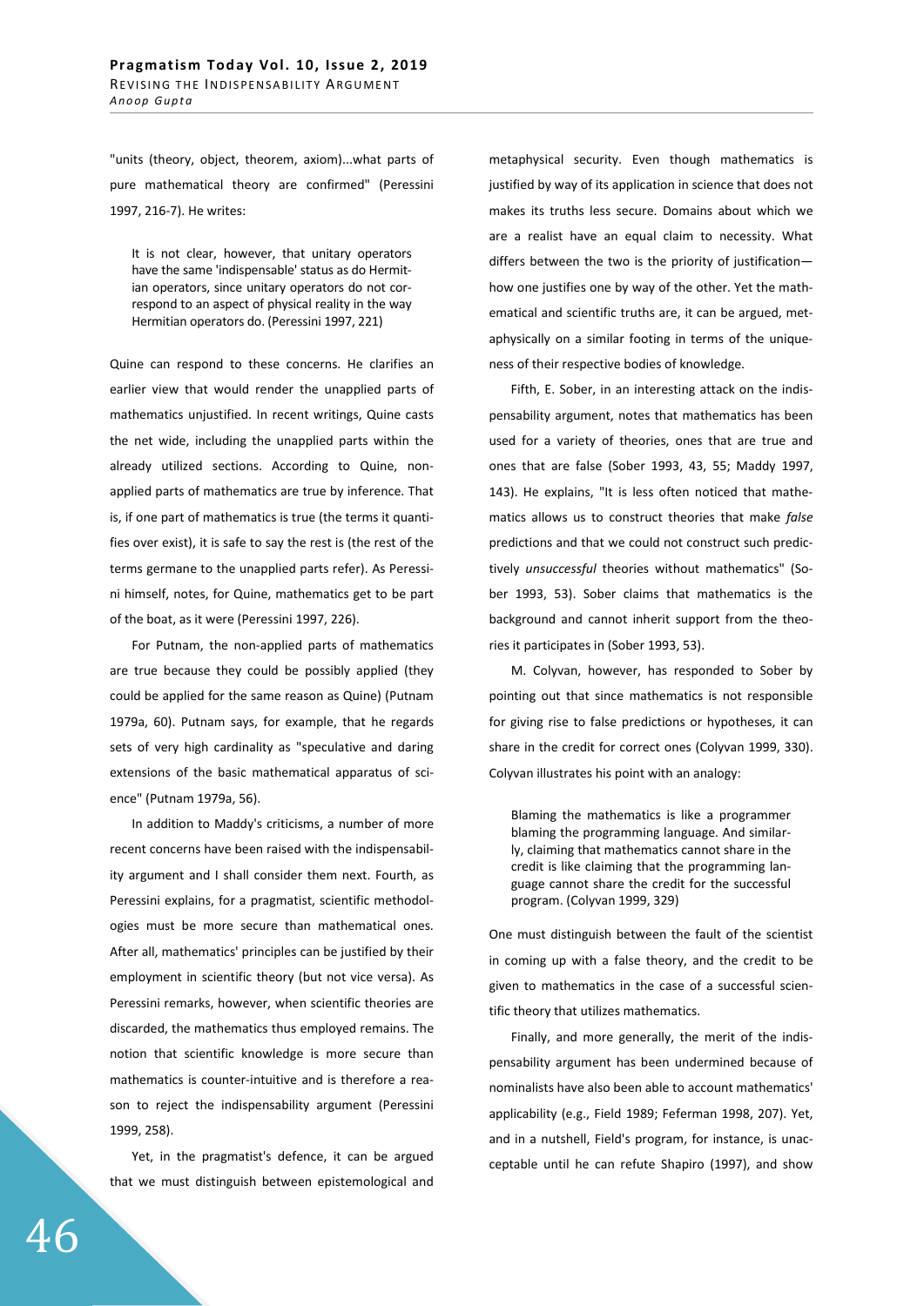"units (theory, object, theorem, axiom)...what parts of pure mathematical theory are confirmed" (Peressini 1997, 216-7). He writes:

It is not clear, however, that unitary operators have the same 'indispensable' status as do Hermitian operators, since unitary operators do not correspond to an aspect of physical reality in the way Hermitian operators do. (Peressini 1997, 221)

Quine can respond to these concerns. He clarifies an earlier view that would render the unapplied parts of mathematics unjustified. In recent writings, Quine casts the net wide, including the unapplied parts within the already utilized sections. According to Quine, nonapplied parts of mathematics are true by inference. That is, if one part of mathematics is true (the terms it quantifies over exist), it is safe to say the rest is (the rest of the terms germane to the unapplied parts refer). As Peressini himself, notes, for Quine, mathematics get to be part of the boat, as it were (Peressini 1997, 226).

For Putnam, the non-applied parts of mathematics are true because they could be possibly applied (they could be applied for the same reason as Quine) (Putnam 1979a, 60). Putnam says, for example, that he regards sets of very high cardinality as "speculative and daring extensions of the basic mathematical apparatus of science" (Putnam 1979a, 56).

In addition to Maddy's criticisms, a number of more recent concerns have been raised with the indispensability argument and I shall consider them next. Fourth, as Peressini explains, for a pragmatist, scientific methodologies must be more secure than mathematical ones. After all, mathematics' principles can be justified by their employment in scientific theory (but not vice versa). As Peressini remarks, however, when scientific theories are discarded, the mathematics thus employed remains. The notion that scientific knowledge is more secure than mathematics is counter-intuitive and is therefore a reason to reject the indispensability argument (Peressini 1999, 258).

Yet, in the pragmatist's defence, it can be argued that we must distinguish between epistemological and

metaphysical security. Even though mathematics is justified by way of its application in science that does not makes its truths less secure. Domains about which we are a realist have an equal claim to necessity. What differs between the two is the priority of justification how one justifies one by way of the other. Yet the mathematical and scientific truths are, it can be argued, metaphysically on a similar footing in terms of the uniqueness of their respective bodies of knowledge.

Fifth, E. Sober, in an interesting attack on the indispensability argument, notes that mathematics has been used for a variety of theories, ones that are true and ones that are false (Sober 1993, 43, 55; Maddy 1997, 143). He explains, "It is less often noticed that mathematics allows us to construct theories that make *false* predictions and that we could not construct such predictively *unsuccessful* theories without mathematics" (Sober 1993, 53). Sober claims that mathematics is the background and cannot inherit support from the theories it participates in (Sober 1993, 53).

M. Colyvan, however, has responded to Sober by pointing out that since mathematics is not responsible for giving rise to false predictions or hypotheses, it can share in the credit for correct ones (Colyvan 1999, 330). Colyvan illustrates his point with an analogy:

Blaming the mathematics is like a programmer blaming the programming language. And similarly, claiming that mathematics cannot share in the credit is like claiming that the programming language cannot share the credit for the successful program. (Colyvan 1999, 329)

One must distinguish between the fault of the scientist in coming up with a false theory, and the credit to be given to mathematics in the case of a successful scientific theory that utilizes mathematics.

Finally, and more generally, the merit of the indispensability argument has been undermined because of nominalists have also been able to account mathematics' applicability (e.g., Field 1989; Feferman 1998, 207). Yet, and in a nutshell, Field's program, for instance, is unacceptable until he can refute Shapiro (1997), and show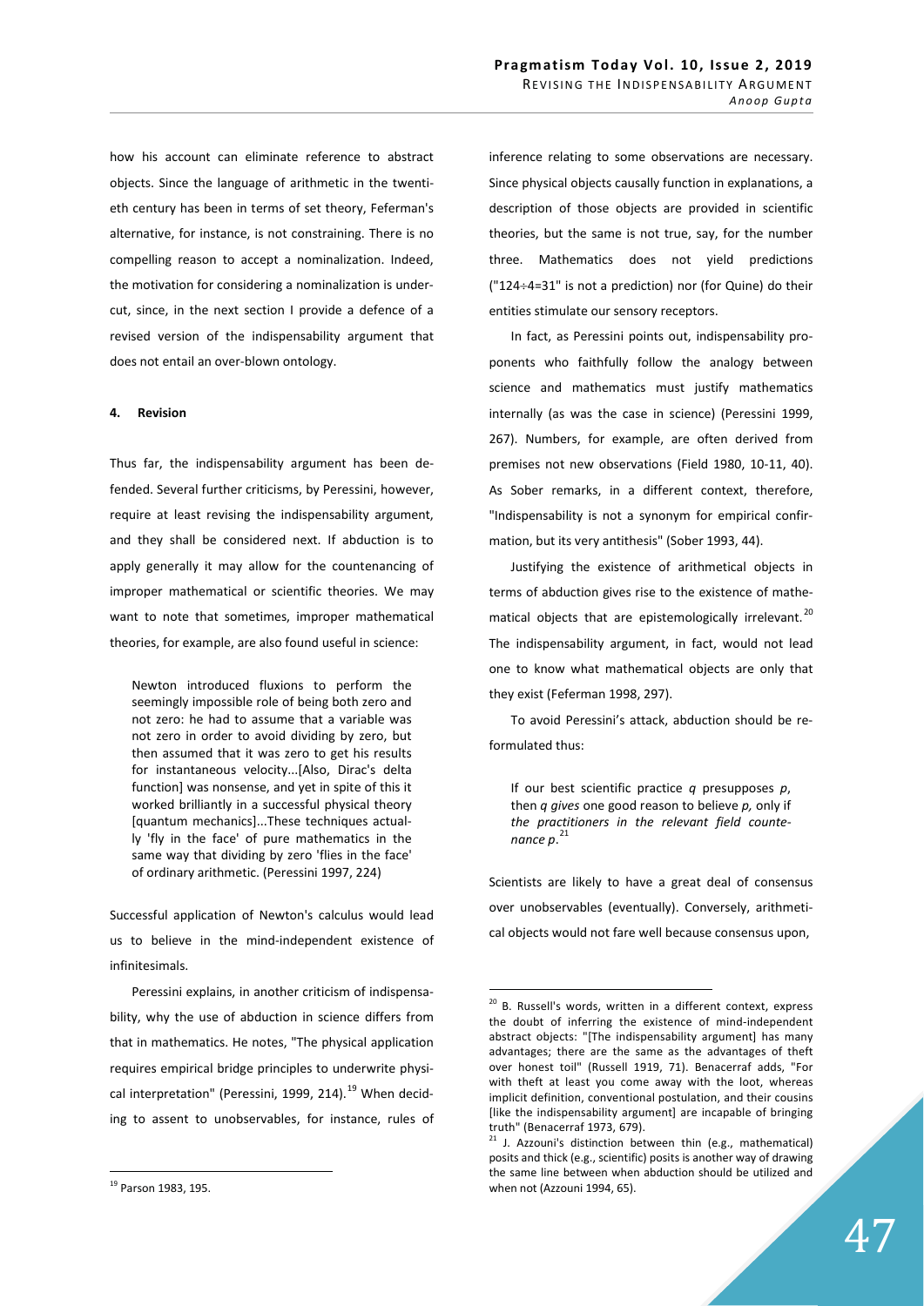how his account can eliminate reference to abstract objects. Since the language of arithmetic in the twentieth century has been in terms of set theory, Feferman's alternative, for instance, is not constraining. There is no compelling reason to accept a nominalization. Indeed, the motivation for considering a nominalization is undercut, since, in the next section I provide a defence of a revised version of the indispensability argument that does not entail an over-blown ontology.

### **4.** Revision

Thus far, the indispensability argument has been defended. Several further criticisms, by Peressini, however, require at least revising the indispensability argument, and they shall be considered next. If abduction is to apply generally it may allow for the countenancing of improper mathematical or scientific theories. We may want to note that sometimes, improper mathematical theories, for example, are also found useful in science:

Newton introduced fluxions to perform the seemingly impossible role of being both zero and not zero: he had to assume that a variable was not zero in order to avoid dividing by zero, but then assumed that it was zero to get his results for instantaneous velocity...[Also, Dirac's delta function] was nonsense, and yet in spite of this it worked brilliantly in a successful physical theory [quantum mechanics]...These techniques actually 'fly in the face' of pure mathematics in the same way that dividing by zero 'flies in the face' of ordinary arithmetic. (Peressini 1997, 224)

Successful application of Newton's calculus would lead us to believe in the mind-independent existence of infinitesimals.

Peressini explains, in another criticism of indispensability, why the use of abduction in science differs from that in mathematics. He notes, "The physical application requires empirical bridge principles to underwrite physical interpretation" (Peressini, 1999, 214).<sup>19</sup> When deciding to assent to unobservables, for instance, rules of inference relating to some observations are necessary. Since physical objects causally function in explanations, a description of those objects are provided in scientific theories, but the same is not true, say, for the number three. Mathematics does not yield predictions (" $124 \div 4 = 31$ " is not a prediction) nor (for Quine) do their entities stimulate our sensory receptors.

In fact, as Peressini points out, indispensability proponents who faithfully follow the analogy between science and mathematics must justify mathematics internally (as was the case in science) (Peressini 1999, 267). Numbers, for example, are often derived from premises not new observations (Field 1980, 10-11, 40). As Sober remarks, in a different context, therefore, "Indispensability is not a synonym for empirical confirmation, but its very antithesis" (Sober 1993, 44).

Justifying the existence of arithmetical objects in terms of abduction gives rise to the existence of mathematical objects that are epistemologically irrelevant.<sup>20</sup> The indispensability argument, in fact, would not lead one to know what mathematical objects are only that they exist (Feferman 1998, 297).

To avoid Peressini's attack, abduction should be reformulated thus:

If our best scientific practice *q* presupposes *p*, then *q gives* one good reason to believe *p,* only if *the practitioners in the relevant field countenance p*. 21

Scientists are likely to have a great deal of consensus over unobservables (eventually). Conversely, arithmetical objects would not fare well because consensus upon,

<sup>19</sup> Parson 1983, 195.

<sup>&</sup>lt;sup>20</sup> B. Russell's words, written in a different context, express the doubt of inferring the existence of mind-independent abstract objects: "[The indispensability argument] has many advantages; there are the same as the advantages of theft over honest toil" (Russell 1919, 71). Benacerraf adds, "For with theft at least you come away with the loot, whereas implicit definition, conventional postulation, and their cousins [like the indispensability argument] are incapable of bringing truth" (Benacerraf 1973, 679).

 $21$  J. Azzouni's distinction between thin (e.g., mathematical) posits and thick (e.g., scientific) posits is another way of drawing the same line between when abduction should be utilized and when not (Azzouni 1994, 65).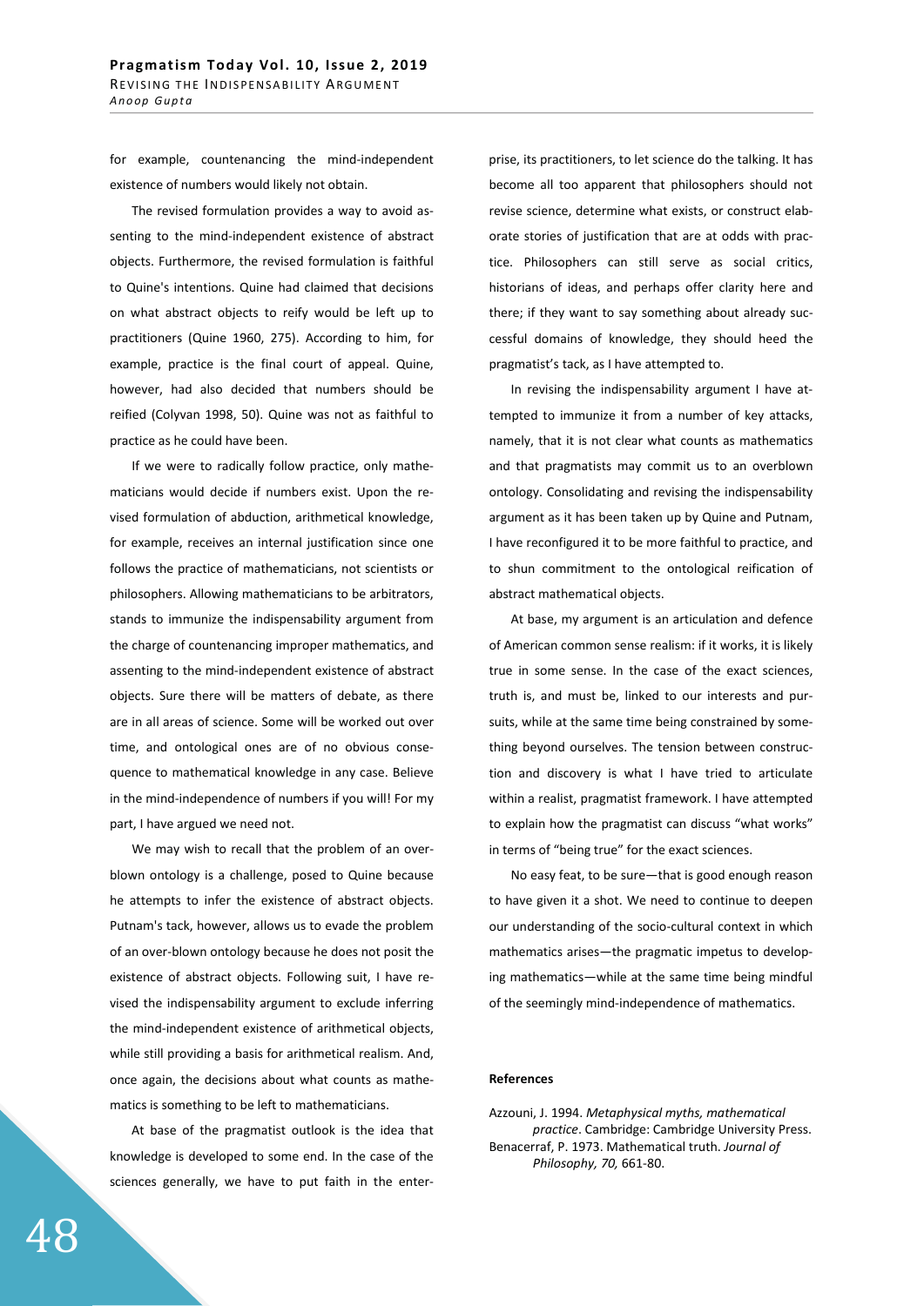for example, countenancing the mind-independent existence of numbers would likely not obtain.

The revised formulation provides a way to avoid assenting to the mind-independent existence of abstract objects. Furthermore, the revised formulation is faithful to Quine's intentions. Quine had claimed that decisions on what abstract objects to reify would be left up to practitioners (Quine 1960, 275). According to him, for example, practice is the final court of appeal. Quine, however, had also decided that numbers should be reified (Colyvan 1998, 50). Quine was not as faithful to practice as he could have been.

If we were to radically follow practice, only mathematicians would decide if numbers exist. Upon the revised formulation of abduction, arithmetical knowledge, for example, receives an internal justification since one follows the practice of mathematicians, not scientists or philosophers. Allowing mathematicians to be arbitrators, stands to immunize the indispensability argument from the charge of countenancing improper mathematics, and assenting to the mind-independent existence of abstract objects. Sure there will be matters of debate, as there are in all areas of science. Some will be worked out over time, and ontological ones are of no obvious consequence to mathematical knowledge in any case. Believe in the mind-independence of numbers if you will! For my part, I have argued we need not.

We may wish to recall that the problem of an overblown ontology is a challenge, posed to Quine because he attempts to infer the existence of abstract objects. Putnam's tack, however, allows us to evade the problem of an over-blown ontology because he does not posit the existence of abstract objects. Following suit, I have revised the indispensability argument to exclude inferring the mind-independent existence of arithmetical objects, while still providing a basis for arithmetical realism. And, once again, the decisions about what counts as mathematics is something to be left to mathematicians.

At base of the pragmatist outlook is the idea that knowledge is developed to some end. In the case of the sciences generally, we have to put faith in the enterprise, its practitioners, to let science do the talking. It has become all too apparent that philosophers should not revise science, determine what exists, or construct elaborate stories of justification that are at odds with practice. Philosophers can still serve as social critics, historians of ideas, and perhaps offer clarity here and there; if they want to say something about already successful domains of knowledge, they should heed the pragmatist's tack, as I have attempted to.

In revising the indispensability argument I have attempted to immunize it from a number of key attacks, namely, that it is not clear what counts as mathematics and that pragmatists may commit us to an overblown ontology. Consolidating and revising the indispensability argument as it has been taken up by Quine and Putnam, I have reconfigured it to be more faithful to practice, and to shun commitment to the ontological reification of abstract mathematical objects.

At base, my argument is an articulation and defence of American common sense realism: if it works, it is likely true in some sense. In the case of the exact sciences, truth is, and must be, linked to our interests and pursuits, while at the same time being constrained by something beyond ourselves. The tension between construction and discovery is what I have tried to articulate within a realist, pragmatist framework. I have attempted to explain how the pragmatist can discuss "what works" in terms of "being true" for the exact sciences.

No easy feat, to be sure—that is good enough reason to have given it a shot. We need to continue to deepen our understanding of the socio-cultural context in which mathematics arises—the pragmatic impetus to developing mathematics—while at the same time being mindful of the seemingly mind-independence of mathematics.

### **References**

Azzouni, J. 1994. *Metaphysical myths, mathematical practice*. Cambridge: Cambridge University Press. Benacerraf, P. 1973. Mathematical truth. *Journal of Philosophy, 70,* 661-80.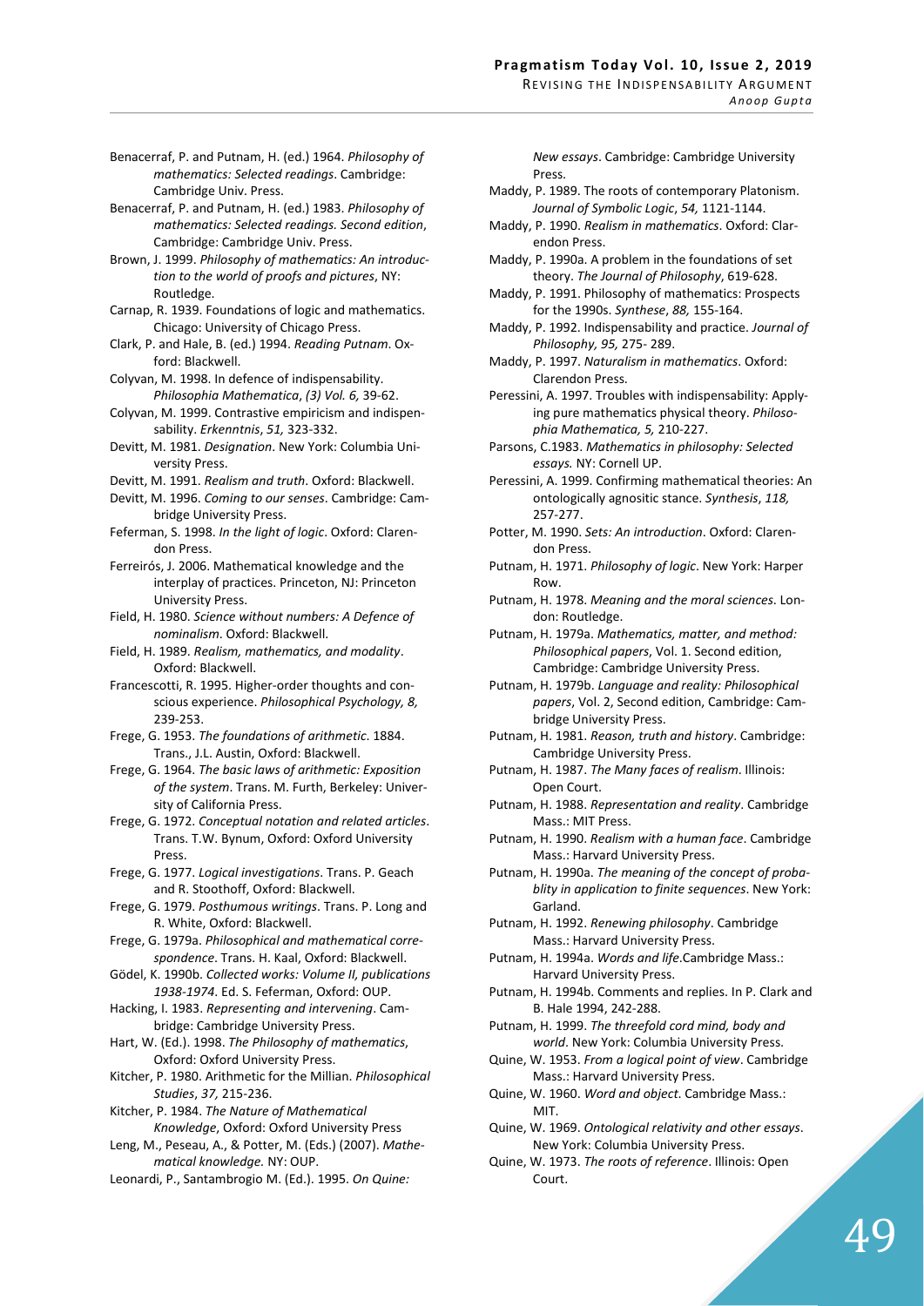*Anoop Gupta* 

- Benacerraf, P. and Putnam, H. (ed.) 1964. *Philosophy of mathematics: Selected readings*. Cambridge: Cambridge Univ. Press.
- Benacerraf, P. and Putnam, H. (ed.) 1983. *Philosophy of mathematics: Selected readings. Second edition*, Cambridge: Cambridge Univ. Press.
- Brown, J. 1999. *Philosophy of mathematics: An introduction to the world of proofs and pictures*, NY: Routledge.
- Carnap, R. 1939. Foundations of logic and mathematics. Chicago: University of Chicago Press.
- Clark, P. and Hale, B. (ed.) 1994. *Reading Putnam*. Oxford: Blackwell.
- Colyvan, M. 1998. In defence of indispensability. *Philosophia Mathematica*, *(3) Vol. 6,* 39-62.
- Colyvan, M. 1999. Contrastive empiricism and indispensability. *Erkenntnis*, *51,* 323-332.
- Devitt, M. 1981. *Designation*. New York: Columbia University Press.
- Devitt, M. 1991. *Realism and truth*. Oxford: Blackwell.
- Devitt, M. 1996. *Coming to our senses*. Cambridge: Cambridge University Press.
- Feferman, S. 1998. *In the light of logic*. Oxford: Clarendon Press.
- Ferreirós, J. 2006. Mathematical knowledge and the interplay of practices. Princeton, NJ: Princeton University Press.
- Field, H. 1980. *Science without numbers: A Defence of nominalism*. Oxford: Blackwell.
- Field, H. 1989. *Realism, mathematics, and modality*. Oxford: Blackwell.
- Francescotti, R. 1995. Higher-order thoughts and conscious experience. *Philosophical Psychology, 8,* 239-253.
- Frege, G. 1953. *The foundations of arithmetic*. 1884. Trans., J.L. Austin, Oxford: Blackwell.
- Frege, G. 1964. *The basic laws of arithmetic: Exposition of the system*. Trans. M. Furth, Berkeley: University of California Press.
- Frege, G. 1972. *Conceptual notation and related articles*. Trans. T.W. Bynum, Oxford: Oxford University Press.
- Frege, G. 1977. *Logical investigations*. Trans. P. Geach and R. Stoothoff, Oxford: Blackwell.
- Frege, G. 1979. *Posthumous writings*. Trans. P. Long and R. White, Oxford: Blackwell.
- Frege, G. 1979a. *Philosophical and mathematical correspondence*. Trans. H. Kaal, Oxford: Blackwell.
- Gödel, K. 1990b. *Collected works: Volume II, publications 1938-1974*. Ed. S. Feferman, Oxford: OUP.
- Hacking, I. 1983. *Representing and intervening*. Cambridge: Cambridge University Press.
- Hart, W. (Ed.). 1998. *The Philosophy of mathematics*, Oxford: Oxford University Press.
- Kitcher, P. 1980. Arithmetic for the Millian. *Philosophical Studies*, *37,* 215-236.
- Kitcher, P. 1984. *The Nature of Mathematical Knowledge*, Oxford: Oxford University Press
- Leng, M., Peseau, A., & Potter, M. (Eds.) (2007). *Mathematical knowledge.* NY: OUP.
- Leonardi, P., Santambrogio M. (Ed.). 1995. *On Quine:*

*New essays*. Cambridge: Cambridge University Press.

- Maddy, P. 1989. The roots of contemporary Platonism. *Journal of Symbolic Logic*, *54,* 1121-1144.
- Maddy, P. 1990. *Realism in mathematics*. Oxford: Clarendon Press.
- Maddy, P. 1990a. A problem in the foundations of set theory. *The Journal of Philosophy*, 619-628.
- Maddy, P. 1991. Philosophy of mathematics: Prospects for the 1990s. *Synthese*, *88,* 155-164.
- Maddy, P. 1992. Indispensability and practice. *Journal of Philosophy, 95,* 275- 289.
- Maddy, P. 1997. *Naturalism in mathematics*. Oxford: Clarendon Press.
- Peressini, A. 1997. Troubles with indispensability: Applying pure mathematics physical theory. *Philosophia Mathematica, 5,* 210-227.
- Parsons, C.1983. *Mathematics in philosophy: Selected essays.* NY: Cornell UP.
- Peressini, A. 1999. Confirming mathematical theories: An ontologically agnositic stance. *Synthesis*, *118,* 257-277.
- Potter, M. 1990. *Sets: An introduction*. Oxford: Clarendon Press.
- Putnam, H. 1971. *Philosophy of logic*. New York: Harper Row.
- Putnam, H. 1978. *Meaning and the moral sciences*. London: Routledge.
- Putnam, H. 1979a. *Mathematics, matter, and method: Philosophical papers*, Vol. 1. Second edition, Cambridge: Cambridge University Press.
- Putnam, H. 1979b. *Language and reality: Philosophical papers*, Vol. 2, Second edition, Cambridge: Cambridge University Press.
- Putnam, H. 1981. *Reason, truth and history*. Cambridge: Cambridge University Press.
- Putnam, H. 1987. *The Many faces of realism*. Illinois: Open Court.
- Putnam, H. 1988. *Representation and reality*. Cambridge Mass.: MIT Press.
- Putnam, H. 1990. *Realism with a human face*. Cambridge Mass.: Harvard University Press.
- Putnam, H. 1990a. *The meaning of the concept of probablity in application to finite sequences*. New York: Garland.
- Putnam, H. 1992. *Renewing philosophy*. Cambridge Mass.: Harvard University Press.
- Putnam, H. 1994a. *Words and life*.Cambridge Mass.: Harvard University Press.
- Putnam, H. 1994b. Comments and replies. In P. Clark and B. Hale 1994, 242-288.
- Putnam, H. 1999. *The threefold cord mind, body and world*. New York: Columbia University Press.
- Quine, W. 1953. *From a logical point of view*. Cambridge Mass.: Harvard University Press.
- Quine, W. 1960. *Word and object*. Cambridge Mass.: MIT.
- Quine, W. 1969. *Ontological relativity and other essays*. New York: Columbia University Press.
- Quine, W. 1973. *The roots of reference*. Illinois: Open Court.